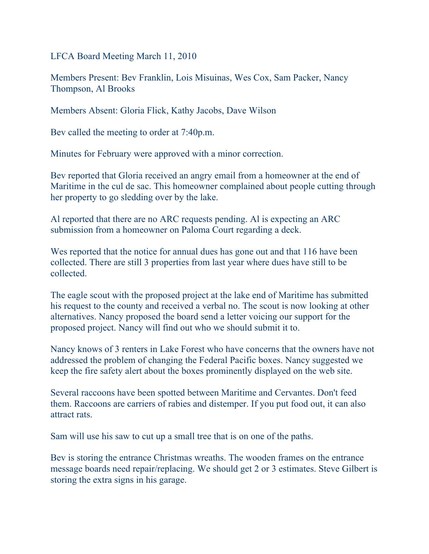LFCA Board Meeting March 11, 2010

Members Present: Bev Franklin, Lois Misuinas, Wes Cox, Sam Packer, Nancy Thompson, Al Brooks

Members Absent: Gloria Flick, Kathy Jacobs, Dave Wilson

Bev called the meeting to order at 7:40p.m.

Minutes for February were approved with a minor correction.

Bev reported that Gloria received an angry email from a homeowner at the end of Maritime in the cul de sac. This homeowner complained about people cutting through her property to go sledding over by the lake.

Al reported that there are no ARC requests pending. Al is expecting an ARC submission from a homeowner on Paloma Court regarding a deck.

Wes reported that the notice for annual dues has gone out and that 116 have been collected. There are still 3 properties from last year where dues have still to be collected.

The eagle scout with the proposed project at the lake end of Maritime has submitted his request to the county and received a verbal no. The scout is now looking at other alternatives. Nancy proposed the board send a letter voicing our support for the proposed project. Nancy will find out who we should submit it to.

Nancy knows of 3 renters in Lake Forest who have concerns that the owners have not addressed the problem of changing the Federal Pacific boxes. Nancy suggested we keep the fire safety alert about the boxes prominently displayed on the web site.

Several raccoons have been spotted between Maritime and Cervantes. Don't feed them. Raccoons are carriers of rabies and distemper. If you put food out, it can also attract rats.

Sam will use his saw to cut up a small tree that is on one of the paths.

Bev is storing the entrance Christmas wreaths. The wooden frames on the entrance message boards need repair/replacing. We should get 2 or 3 estimates. Steve Gilbert is storing the extra signs in his garage.